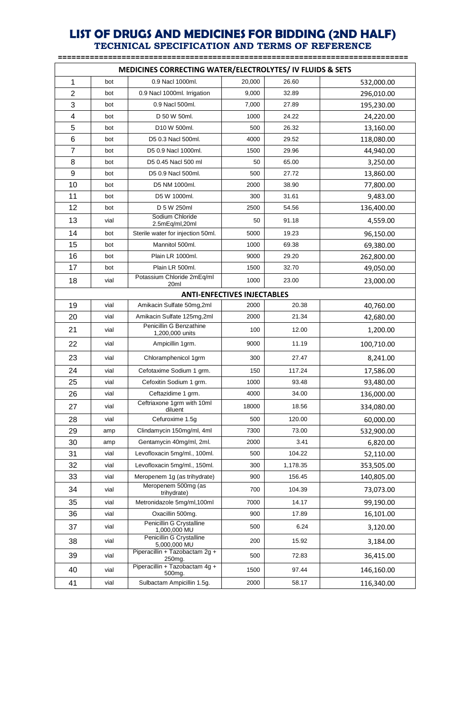| MEDICINES CORRECTING WATER/ELECTROLYTES/ IV FLUIDS & SETS |                                    |                                                       |        |          |            |  |  |  |
|-----------------------------------------------------------|------------------------------------|-------------------------------------------------------|--------|----------|------------|--|--|--|
| 1                                                         | bot                                | 0.9 Nacl 1000ml.                                      | 20,000 | 26.60    | 532,000.00 |  |  |  |
| $\overline{2}$                                            | bot                                | 0.9 Nacl 1000ml. Irrigation                           | 9,000  | 32.89    | 296,010.00 |  |  |  |
| 3                                                         | bot                                | 0.9 Nacl 500ml.                                       | 7,000  | 27.89    | 195,230.00 |  |  |  |
| 4                                                         | bot                                | D 50 W 50ml.                                          | 1000   | 24.22    | 24,220.00  |  |  |  |
| 5                                                         | bot                                | D10 W 500ml.                                          | 500    | 26.32    | 13,160.00  |  |  |  |
| 6                                                         | bot                                | D5 0.3 Nacl 500ml.                                    | 4000   | 29.52    | 118,080.00 |  |  |  |
| 7                                                         | bot                                | D5 0.9 Nacl 1000ml.                                   | 1500   | 29.96    | 44,940.00  |  |  |  |
| 8                                                         | bot                                | D5 0.45 Nacl 500 ml                                   | 50     | 65.00    | 3,250.00   |  |  |  |
| 9                                                         | bot                                | D5 0.9 Nacl 500ml.                                    | 500    | 27.72    | 13,860.00  |  |  |  |
| 10                                                        | bot                                | D5 NM 1000ml.                                         | 2000   | 38.90    | 77,800.00  |  |  |  |
| 11                                                        | bot                                | D5 W 1000ml.                                          | 300    | 31.61    | 9,483.00   |  |  |  |
| 12                                                        | bot                                | D 5 W 250ml                                           | 2500   | 54.56    | 136,400.00 |  |  |  |
| 13                                                        | vial                               | Sodium Chloride<br>2.5mEq/ml,20ml                     | 50     | 91.18    | 4,559.00   |  |  |  |
| 14                                                        | bot                                | Sterile water for injection 50ml.                     | 5000   | 19.23    | 96,150.00  |  |  |  |
| 15                                                        | bot                                | Mannitol 500ml.                                       | 1000   | 69.38    | 69,380.00  |  |  |  |
| 16                                                        | bot                                | Plain LR 1000ml.                                      | 9000   | 29.20    | 262,800.00 |  |  |  |
| 17                                                        | bot                                | Plain LR 500ml.                                       | 1500   | 32.70    | 49,050.00  |  |  |  |
| 18                                                        | vial                               | Potassium Chloride 2mEq/ml<br>20 <sub>ml</sub>        | 1000   | 23.00    | 23,000.00  |  |  |  |
|                                                           | <b>ANTI-ENFECTIVES INJECTABLES</b> |                                                       |        |          |            |  |  |  |
| 19                                                        | vial                               | Amikacin Sulfate 50mg,2ml                             | 2000   | 20.38    | 40,760.00  |  |  |  |
| 20                                                        | vial                               | Amikacin Sulfate 125mg,2ml                            | 2000   | 21.34    | 42,680.00  |  |  |  |
| 21                                                        | vial                               | Penicillin G Benzathine<br>1,200,000 units            | 100    | 12.00    | 1,200.00   |  |  |  |
| 22                                                        | vial                               | Ampicillin 1grm.                                      | 9000   | 11.19    | 100,710.00 |  |  |  |
| 23                                                        | vial                               | Chloramphenicol 1grm                                  | 300    | 27.47    | 8,241.00   |  |  |  |
| 24                                                        | vial                               | Cefotaxime Sodium 1 grm.                              | 150    | 117.24   | 17,586.00  |  |  |  |
| 25                                                        | vial                               | Cefoxitin Sodium 1 grm.                               | 1000   | 93.48    | 93,480.00  |  |  |  |
| 26                                                        | vial                               | Ceftazidime 1 grm.                                    | 4000   | 34.00    | 136,000.00 |  |  |  |
| 27                                                        | vial                               | Ceftriaxone 1grm with 10ml<br>diluent                 | 18000  | 18.56    | 334,080.00 |  |  |  |
| 28                                                        | vial                               | Cefuroxime 1.5g                                       | 500    | 120.00   | 60,000.00  |  |  |  |
| 29                                                        | amp                                | Clindamycin 150mg/ml, 4ml                             | 7300   | 73.00    | 532,900.00 |  |  |  |
| 30                                                        | amp                                | Gentamycin 40mg/ml, 2ml.                              | 2000   | 3.41     | 6,820.00   |  |  |  |
| 31                                                        | vial                               | Levofloxacin 5mg/ml., 100ml.                          | 500    | 104.22   | 52,110.00  |  |  |  |
| 32                                                        | vial                               | Levofloxacin 5mg/ml., 150ml.                          | 300    | 1,178.35 | 353,505.00 |  |  |  |
| 33                                                        | vial                               | Meropenem 1g (as trihydrate)                          | 900    | 156.45   | 140,805.00 |  |  |  |
| 34                                                        | vial                               | Meropenem 500mg (as<br>trihydrate)                    | 700    | 104.39   | 73,073.00  |  |  |  |
| 35                                                        | vial                               | Metronidazole 5mg/ml,100ml                            | 7000   | 14.17    | 99,190.00  |  |  |  |
| 36                                                        | vial                               | Oxacillin 500mg.                                      | 900    | 17.89    | 16,101.00  |  |  |  |
| 37                                                        | vial                               | Penicillin G Crystalline<br>1,000,000 MU              | 500    | 6.24     | 3,120.00   |  |  |  |
| 38                                                        | vial                               | Penicillin G Crystalline<br>5,000,000 MU              | 200    | 15.92    | 3,184.00   |  |  |  |
| 39                                                        | vial                               | Piperacillin + Tazobactam 2g +<br>250mg.              | 500    | 72.83    | 36,415.00  |  |  |  |
| 40                                                        | vial                               | Piperacillin + Tazobactam 4g +<br>500 <sub>mg</sub> . | 1500   | 97.44    | 146,160.00 |  |  |  |
| 41                                                        | vial                               | Sulbactam Ampicillin 1.5g.                            | 2000   | 58.17    | 116,340.00 |  |  |  |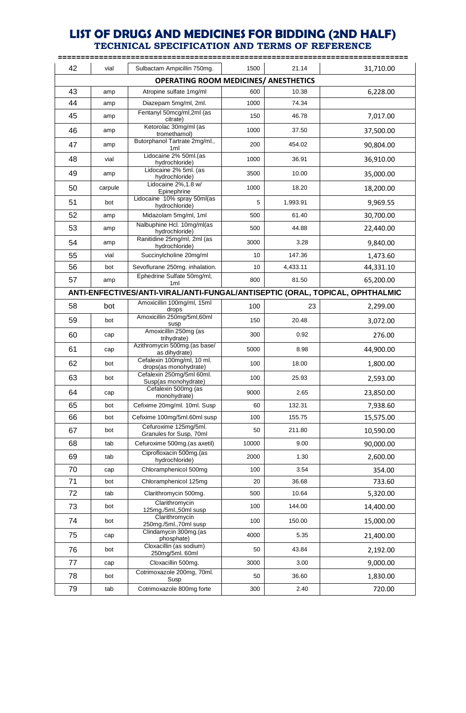|    |         |                                                                              |       |          | ========= |
|----|---------|------------------------------------------------------------------------------|-------|----------|-----------|
| 42 | vial    | Sulbactam Ampicillin 750mg.                                                  | 1500  | 21.14    | 31,710.00 |
|    |         | <b>OPERATING ROOM MEDICINES/ ANESTHETICS</b>                                 |       |          |           |
| 43 | amp     | Atropine sulfate 1mg/ml                                                      | 600   | 10.38    | 6,228.00  |
| 44 | amp     | Diazepam 5mg/ml, 2ml.                                                        | 1000  | 74.34    |           |
| 45 | amp     | Fentanyl 50mcg/ml,2ml (as<br>citrate)                                        | 150   | 46.78    | 7,017.00  |
| 46 | amp     | Ketorolac 30mg/ml (as<br>tromethamol)                                        | 1000  | 37.50    | 37,500.00 |
| 47 | amp     | Butorphanol Tartrate 2mg/ml.,<br>1 <sub>ml</sub>                             | 200   | 454.02   | 90,804.00 |
| 48 | vial    | Lidocaine 2% 50ml.(as<br>hydrochloride)                                      | 1000  | 36.91    | 36,910.00 |
| 49 | amp     | Lidocaine 2% 5ml. (as<br>hydrochloride)                                      | 3500  | 10.00    | 35,000.00 |
| 50 | carpule | Lidocaine 2%, 1.8 w/<br>Epinephrine                                          | 1000  | 18.20    | 18,200.00 |
| 51 | bot     | Lidocaine 10% spray 50ml(as<br>hydrochloride)                                | 5     | 1,993.91 | 9,969.55  |
| 52 | amp     | Midazolam 5mg/ml, 1ml                                                        | 500   | 61.40    | 30,700.00 |
| 53 | amp     | Nalbuphine Hcl. 10mg/ml(as<br>hydrochloride)                                 | 500   | 44.88    | 22,440.00 |
| 54 | amp     | Ranitidine 25mg/ml, 2ml (as<br>hydrochloride)                                | 3000  | 3.28     | 9,840.00  |
| 55 | vial    | Succinylcholine 20mg/ml                                                      | 10    | 147.36   | 1,473.60  |
| 56 | bot     | Sevoflurane 250mg. inhalation.                                               | 10    | 4,433.11 | 44,331.10 |
| 57 | amp     | Ephedrine Sulfate 50mg/ml,<br>1 <sub>m</sub>                                 | 800   | 81.50    | 65,200.00 |
|    |         | ANTI-ENFECTIVES/ANTI-VIRAL/ANTI-FUNGAL/ANTISEPTIC (ORAL, TOPICAL, OPHTHALMIC |       |          |           |
| 58 | bot     | Amoxicillin 100mg/ml, 15ml<br>drops                                          | 100   | 23       | 2,299.00  |
| 59 | bot     | Amoxicillin 250mg/5ml,60ml<br>susp                                           | 150   | 20.48    | 3,072.00  |
| 60 | cap     | Amoxicillin 250mg (as<br>trihydrate)                                         | 300   | 0.92     | 276.00    |
| 61 | cap     | Azithromycin 500mg.(as base/<br>as dihydrate)                                | 5000  | 8.98     | 44,900.00 |
| 62 | bot     | Cefalexin 100mg/ml, 10 ml.<br>drops(as monohydrate)                          | 100   | 18.00    | 1,800.00  |
| 63 | bot     | Cefalexin 250mg/5ml 60ml.<br>Susp(as monohydrate)                            | 100   | 25.93    | 2,593.00  |
| 64 | cap     | Cefalexin 500mg (as<br>monohydrate)                                          | 9000  | 2.65     | 23,850.00 |
| 65 | bot     | Cefixime 20mg/ml. 10ml. Susp                                                 | 60    | 132.31   | 7,938.60  |
| 66 | bot     | Cefixime 100mg/5ml.60ml susp                                                 | 100   | 155.75   | 15,575.00 |
| 67 | bot     | Cefuroxime 125mg/5ml.<br>Granules for Susp, 70ml                             | 50    | 211.80   | 10,590.00 |
| 68 | tab     | Cefuroxime 500mg.(as axetil)                                                 | 10000 | 9.00     | 90,000.00 |
| 69 | tab     | Ciprofloxacin 500mg.(as<br>hydrochloride)                                    | 2000  | 1.30     | 2,600.00  |
| 70 | cap     | Chloramphenicol 500mg                                                        | 100   | 3.54     | 354.00    |
| 71 | bot     | Chloramphenicol 125mg                                                        | 20    | 36.68    | 733.60    |
| 72 | tab     | Clarithromycin 500mg.                                                        | 500   | 10.64    | 5,320.00  |
| 73 | bot     | Clarithromycin<br>125mg./5ml.,50ml susp                                      | 100   | 144.00   | 14,400.00 |
| 74 | bot     | Clarithromycin<br>250mg./5ml.,70ml susp                                      | 100   | 150.00   | 15,000.00 |
| 75 | cap     | Clindamycin 300mg.(as<br>phosphate)                                          | 4000  | 5.35     | 21,400.00 |
| 76 | bot     | Cloxacillin (as sodium)<br>250mg/5ml. 60ml                                   | 50    | 43.84    | 2,192.00  |
| 77 | cap     | Cloxacillin 500mg.                                                           | 3000  | 3.00     | 9,000.00  |
| 78 | bot     | Cotrimoxazole 200mg, 70ml.<br>Susp                                           | 50    | 36.60    | 1,830.00  |
| 79 | tab     | Cotrimoxazole 800mg forte                                                    | 300   | 2.40     | 720.00    |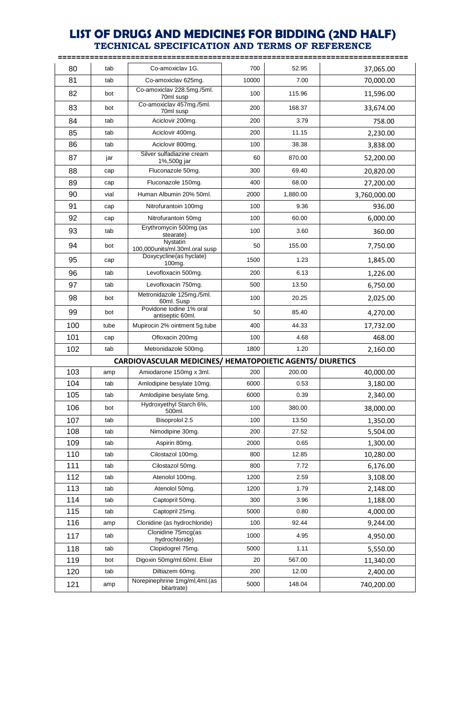|     |      |                                                           |       |          | ==========   |
|-----|------|-----------------------------------------------------------|-------|----------|--------------|
| 80  | tab  | Co-amoxiclay 1G.                                          | 700   | 52.95    | 37,065.00    |
| 81  | tab  | Co-amoxiclav 625mg.                                       | 10000 | 7.00     | 70,000.00    |
| 82  | bot  | Co-amoxiclav 228.5mg./5ml.<br>70ml susp                   | 100   | 115.96   | 11,596.00    |
| 83  | bot  | Co-amoxiclav 457mg./5ml.<br>70ml susp                     | 200   | 168.37   | 33,674.00    |
| 84  | tab  | Aciclovir 200mg.                                          | 200   | 3.79     | 758.00       |
| 85  | tab  | Aciclovir 400mg.                                          | 200   | 11.15    | 2,230.00     |
| 86  | tab  | Aciclovir 800mg.                                          | 100   | 38.38    | 3,838.00     |
| 87  | jar  | Silver sulfadiazine cream<br>1%,500g jar                  | 60    | 870.00   | 52,200.00    |
| 88  | cap  | Fluconazole 50mg.                                         | 300   | 69.40    | 20,820.00    |
| 89  | cap  | Fluconazole 150mg.                                        | 400   | 68.00    | 27,200.00    |
| 90  | vial | Human Albumin 20% 50ml.                                   | 2000  | 1,880.00 | 3,760,000.00 |
| 91  | cap  | Nitrofurantoin 100mg                                      | 100   | 9.36     | 936.00       |
| 92  | cap  | Nitrofurantoin 50mg                                       | 100   | 60.00    | 6,000.00     |
| 93  | tab  | Erythromycin 500mg (as<br>stearate)                       | 100   | 3.60     | 360.00       |
| 94  | bot  | Nystatin<br>100,000units/ml.30ml.oral susp                | 50    | 155.00   | 7,750.00     |
| 95  | cap  | Doxycycline(as hyclate)<br>100mg.                         | 1500  | 1.23     | 1,845.00     |
| 96  | tab  | Levofloxacin 500mg.                                       | 200   | 6.13     | 1,226.00     |
| 97  | tab  | Levofloxacin 750mg.                                       | 500   | 13.50    | 6,750.00     |
| 98  | bot  | Metronidazole 125mg./5ml.<br>60ml. Susp                   | 100   | 20.25    | 2,025.00     |
| 99  | bot  | Povidone lodine 1% oral<br>antiseptic 60ml.               | 50    | 85.40    | 4,270.00     |
| 100 | tube | Mupirocin 2% ointment 5g.tube                             | 400   | 44.33    | 17,732.00    |
| 101 | cap  | Ofloxacin 200mg                                           | 100   | 4.68     | 468.00       |
| 102 | tab  | Metronidazole 500mg.                                      | 1800  | 1.20     | 2,160.00     |
|     |      | CARDIOVASCULAR MEDICINES/ HEMATOPOIETIC AGENTS/ DIURETICS |       |          |              |
| 103 | amp  | Amiodarone 150mg x 3ml.                                   | 200   | 200.00   | 40,000.00    |
| 104 | tab  | Amlodipine besylate 10mg.                                 | 6000  | 0.53     | 3,180.00     |
| 105 | tab  | Amlodipine besylate 5mg.                                  | 6000  | 0.39     | 2,340.00     |
| 106 | bot  | Hydroxyethyl Starch 6%,<br>500ml.                         | 100   | 380.00   | 38,000.00    |
| 107 | tab  | Bisoprolol 2.5                                            | 100   | 13.50    | 1,350.00     |
| 108 | tab  | Nimodipine 30mg.                                          | 200   | 27.52    | 5,504.00     |
| 109 | tab  | Aspirin 80mg.                                             | 2000  | 0.65     | 1,300.00     |
| 110 | tab  | Cilostazol 100mg.                                         | 800   | 12.85    | 10,280.00    |
| 111 | tab  | Cilostazol 50mg.                                          | 800   | 7.72     | 6,176.00     |
| 112 | tab  | Atenolol 100mg.                                           | 1200  | 2.59     | 3,108.00     |
| 113 | tab  | Atenolol 50mg.                                            | 1200  | 1.79     | 2,148.00     |
| 114 | tab  | Captopril 50mg.                                           | 300   | 3.96     | 1,188.00     |
| 115 | tab  | Captopril 25mg.                                           | 5000  | 0.80     | 4,000.00     |
| 116 | amp  | Clonidine (as hydrochloride)                              | 100   | 92.44    | 9,244.00     |
| 117 | tab  | Clonidine 75mcg(as<br>hydrochloride)                      | 1000  | 4.95     | 4,950.00     |
| 118 | tab  | Clopidogrel 75mg.                                         | 5000  | 1.11     | 5,550.00     |
| 119 | bot  | Digoxin 50mg/ml.60ml. Elixir                              | 20    | 567.00   | 11,340.00    |
| 120 | tab  | Diltiazem 60mg.                                           | 200   | 12.00    | 2,400.00     |
| 121 | amp  | Norepinephrine 1mg/ml,4ml.(as<br>bitartrate)              | 5000  | 148.04   | 740,200.00   |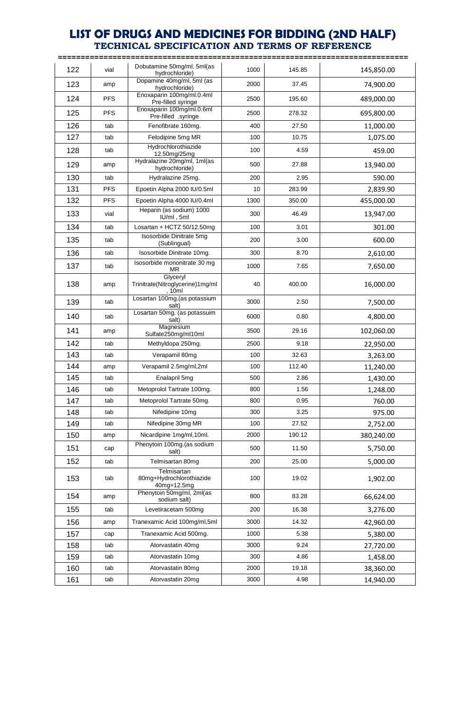| 122 | vial       | Dobutamine 50mg/ml. 5ml(as<br>hydrochloride)           | 1000 | 145.85 | 145,850.00 |
|-----|------------|--------------------------------------------------------|------|--------|------------|
| 123 | amp        | Dopamine 40mg/ml, 5ml (as<br>hydrochloride)            | 2000 | 37.45  | 74,900.00  |
| 124 | <b>PFS</b> | Enoxaparin 100mg/ml.0.4ml<br>Pre-filled syringe        | 2500 | 195.60 | 489,000.00 |
| 125 | <b>PFS</b> | Enoxaparin 100mg/ml.0.6ml<br>Pre-filled .syringe       | 2500 | 278.32 | 695,800.00 |
| 126 | tab        | Fenofibrate 160mg.                                     | 400  | 27.50  | 11,000.00  |
| 127 | tab        | Felodipine 5mg MR                                      | 100  | 10.75  | 1,075.00   |
| 128 | tab        | Hydrochlorothiazide<br>12.50mg/25mg                    | 100  | 4.59   | 459.00     |
| 129 | amp        | Hydralazine 20mg/ml, 1ml(as<br>hydrochloride)          | 500  | 27.88  | 13,940.00  |
| 130 | tab        | Hydralazine 25mg.                                      | 200  | 2.95   | 590.00     |
| 131 | <b>PFS</b> | Epoetin Alpha 2000 IU/0.5ml                            | 10   | 283.99 | 2,839.90   |
| 132 | <b>PFS</b> | Epoetin Alpha 4000 IU/0.4ml                            | 1300 | 350.00 | 455,000.00 |
| 133 | vial       | Heparin (as sodium) 1000<br>IU/ml, 5ml                 | 300  | 46.49  | 13,947.00  |
| 134 | tab        | Losartan + HCTZ $50/12.50mg$                           | 100  | 3.01   | 301.00     |
| 135 | tab        | Isosorbide Dinitrate 5mg<br>(Sublingual)               | 200  | 3.00   | 600.00     |
| 136 | tab        | Isosorbide Dinitrate 10mg.                             | 300  | 8.70   | 2,610.00   |
| 137 | tab        | Isosorbide mononitrate 30 mg<br>ΜR                     | 1000 | 7.65   | 7,650.00   |
| 138 | amp        | Glyceryl<br>Trinitrate(Nitroglycerine)1mg/ml<br>. 10ml | 40   | 400.00 | 16,000.00  |
| 139 | tab        | Losartan 100mg. (as potassium<br>salt)                 | 3000 | 2.50   | 7,500.00   |
| 140 | tab        | Losartan 50mg. (as potassuim<br>salt)                  | 6000 | 0.80   | 4,800.00   |
| 141 | amp        | Magnesium<br>Sulfate250mg/ml10ml                       | 3500 | 29.16  | 102,060.00 |
| 142 | tab        | Methyldopa 250mg.                                      | 2500 | 9.18   | 22,950.00  |
| 143 | tab        | Verapamil 80mg                                         | 100  | 32.63  | 3,263.00   |
| 144 | amp        | Verapamil 2.5mg/ml,2ml                                 | 100  | 112.40 | 11,240.00  |
| 145 | tab        | Enalapril 5mg                                          | 500  | 2.86   | 1,430.00   |
| 146 | tab        | Metoprolol Tartrate 100mg.                             | 800  | 1.56   | 1,248.00   |
| 147 | tab        | Metoprolol Tartrate 50mg.                              | 800  | 0.95   | 760.00     |
| 148 | tab        | Nifedipine 10mg                                        | 300  | 3.25   | 975.00     |
| 149 | tab        | Nifedipine 30mg MR                                     | 100  | 27.52  | 2,752.00   |
| 150 | amp        | Nicardipine 1mg/ml, 10ml.                              | 2000 | 190.12 | 380,240.00 |
| 151 | cap        | Phenytoin 100mg.(as sodium<br>salt)                    | 500  | 11.50  | 5,750.00   |
| 152 | tab        | Telmisartan 80mg                                       | 200  | 25.00  | 5,000.00   |
| 153 | tab        | Telmisartan<br>80mg+Hydrochlorothiazide<br>40mg+12.5mg | 100  | 19.02  | 1,902.00   |
| 154 | amp        | Phenytoin 50mg/ml, 2ml(as<br>sodium salt)              | 800  | 83.28  | 66,624.00  |
| 155 | tab        | Levetiracetam 500mg                                    | 200  | 16.38  | 3,276.00   |
| 156 | amp        | Tranexamic Acid 100mg/ml,5ml                           | 3000 | 14.32  | 42,960.00  |
| 157 | cap        | Tranexamic Acid 500mg.                                 | 1000 | 5.38   | 5,380.00   |
| 158 | tab        | Atorvastatin 40mg                                      | 3000 | 9.24   | 27,720.00  |
| 159 | tab        | Atorvastatin 10mg                                      | 300  | 4.86   | 1,458.00   |
| 160 | tab        | Atorvastatin 80mg                                      | 2000 | 19.18  | 38,360.00  |
| 161 | tab        | Atorvastatin 20mg                                      | 3000 | 4.98   | 14,940.00  |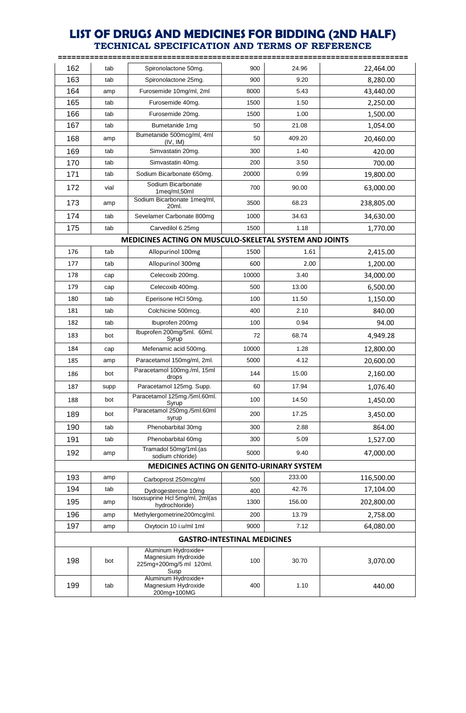|     |      |                                                                               | =========== |        | =============== |
|-----|------|-------------------------------------------------------------------------------|-------------|--------|-----------------|
| 162 | tab  | Spironolactone 50mg.                                                          | 900         | 24.96  | 22,464.00       |
| 163 | tab  | Spironolactone 25mg.                                                          | 900         | 9.20   | 8,280.00        |
| 164 | amp  | Furosemide 10mg/ml, 2ml                                                       | 8000        | 5.43   | 43,440.00       |
| 165 | tab  | Furosemide 40mg.                                                              | 1500        | 1.50   | 2,250.00        |
| 166 | tab  | Furosemide 20mg.                                                              | 1500        | 1.00   | 1,500.00        |
| 167 | tab  | Bumetanide 1mg                                                                | 50          | 21.08  | 1,054.00        |
| 168 | amp  | Bumetanide 500mcg/ml, 4ml<br>(IV, IM)                                         | 50          | 409.20 | 20,460.00       |
| 169 | tab  | Simvastatin 20mg.                                                             | 300         | 1.40   | 420.00          |
| 170 | tab  | Simvastatin 40mg.                                                             | 200         | 3.50   | 700.00          |
| 171 | tab  | Sodium Bicarbonate 650mg.                                                     | 20000       | 0.99   | 19,800.00       |
| 172 | vial | Sodium Bicarbonate<br>1meg/ml,50ml                                            | 700         | 90.00  | 63,000.00       |
| 173 | amp  | Sodium Bicarbonate 1meq/ml,<br>20ml.                                          | 3500        | 68.23  | 238,805.00      |
| 174 | tab  | Sevelamer Carbonate 800mg                                                     | 1000        | 34.63  | 34,630.00       |
| 175 | tab  | Carvedilol 6.25mg                                                             | 1500        | 1.18   | 1,770.00        |
|     |      | MEDICINES ACTING ON MUSCULO-SKELETAL SYSTEM AND JOINTS                        |             |        |                 |
| 176 | tab  | Allopurinol 100mg                                                             | 1500        | 1.61   | 2,415.00        |
| 177 | tab  | Allopurinol 300mg                                                             | 600         | 2.00   | 1,200.00        |
| 178 | cap  | Celecoxib 200mg.                                                              | 10000       | 3.40   | 34,000.00       |
| 179 | cap  | Celecoxib 400mg.                                                              | 500         | 13.00  | 6,500.00        |
| 180 | tab  | Eperisone HCI 50mg.                                                           | 100         | 11.50  | 1,150.00        |
| 181 | tab  | Colchicine 500mcg.                                                            | 400         | 2.10   | 840.00          |
| 182 | tab  | Ibuprofen 200mg                                                               | 100         | 0.94   | 94.00           |
| 183 | bot  | Ibuprofen 200mg/5ml. 60ml.<br>Syrup                                           | 72          | 68.74  | 4,949.28        |
| 184 | cap  | Mefenamic acid 500mg.                                                         | 10000       | 1.28   | 12,800.00       |
| 185 | amp  | Paracetamol 150mg/ml, 2ml.                                                    | 5000        | 4.12   | 20,600.00       |
| 186 | bot  | Paracetamol 100mg./ml, 15ml<br>drops                                          | 144         | 15.00  | 2,160.00        |
| 187 | supp | Paracetamol 125mg. Supp.                                                      | 60          | 17.94  | 1,076.40        |
| 188 | bot  | Paracetamol 125mg./5ml.60ml.<br>Syrup                                         | 100         | 14.50  | 1,450.00        |
| 189 | bot  | Paracetamol 250mg./5ml.60ml<br>syrup                                          | 200         | 17.25  | 3,450.00        |
| 190 | tab  | Phenobarbital 30mg                                                            | 300         | 2.88   | 864.00          |
| 191 | tab  | Phenobarbital 60mg                                                            | 300         | 5.09   | 1,527.00        |
| 192 | amp  | Tramadol 50mg/1ml.(as<br>sodium chloride)                                     | 5000        | 9.40   | 47,000.00       |
|     |      | MEDICINES ACTING ON GENITO-URINARY SYSTEM                                     |             |        |                 |
| 193 | amp  | Carboprost 250mcg/ml                                                          | 500         | 233.00 | 116,500.00      |
| 194 | tab  | Dydrogesterone 10mg                                                           | 400         | 42.76  | 17,104.00       |
| 195 | amp  | Isoxsuprine Hcl 5mg/ml, 2ml(as<br>hydrochloride)                              | 1300        | 156.00 | 202,800.00      |
| 196 | amp  | Methylergometrine200mcg/ml.                                                   | 200         | 13.79  | 2,758.00        |
| 197 | amp  | Oxytocin 10 i.u/ml 1ml                                                        | 9000        | 7.12   | 64,080.00       |
|     |      | <b>GASTRO-INTESTINAL MEDICINES</b>                                            |             |        |                 |
| 198 | bot  | Aluminum Hydroxide+<br>Magnesium Hydroxide<br>225mg+200mg/5 ml 120ml.<br>Susp | 100         | 30.70  | 3,070.00        |
| 199 | tab  | Aluminum Hydroxide+<br>Magnesium Hydroxide<br>200mg+100MG                     | 400         | 1.10   | 440.00          |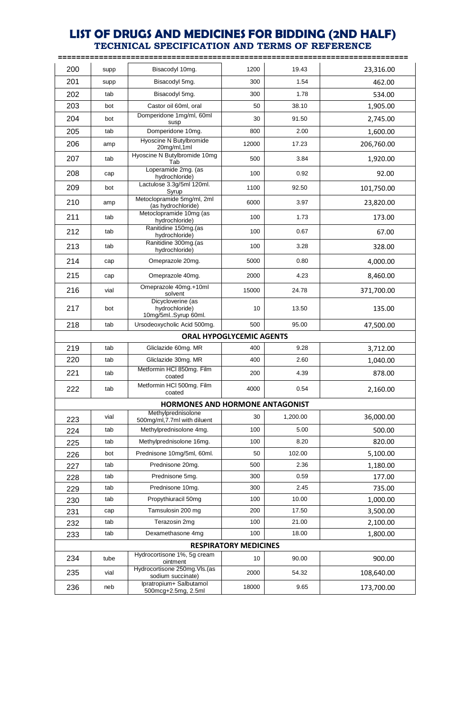**=============================================================================** 200 supp Bisacodyl 10mg. | 1200 | 19.43 | 23,316.00 201 | supp | Bisacodyl 5mg. | 300 | 1.54 | 1.54 462.00 202 | tab | Bisacodyl 5mg. | 300 | 1.78 | 534.00 203 bot Castor oil 60ml, oral | 50 38.10 | 1,905.00 204 bot Domperidone 1mg/ml, 60ml susp 30 91.50 2,745.00 205 tab Domperidone 10mg. 800 2.00 1,600.00 206 | amp Hyoscine N Butylbromide 200 17.23 206,760.00 120mg/ml,1ml 12000 17.23 206,760.00 207 tab Hyoscine N Butylbromide 10mg divisionniae renig | 500 | 3.84 | 1,920.00 208 cap Loperamide 2mg. (as hydrochloride) 100 0.92 92.00 209 bot Lactulose 3.3g/5ml 120ml.<br>Syrup Syrup 1100 92.50 101,750.00 210 | amp Metoclopramide 5mg/ml, 2ml clopramide 5mg/mi, 2mi<br>
(as hydrochloride) 6000 3.97 23,820.00 211 tab Metoclopramide 10mg (as clopramide 10mg (as  $h$  100  $\vert$  1.73  $\vert$  1.73 173.00 212 tab Ranitidine 150mg.(as  $\frac{1}{2}$  hydrochloride) 100 0.67 67.00 213 tab Ranitidine 300mg.(as hitidine 300mg.<br>
a hydrochloride) 100 3.28 328.00 214 cap Omeprazole 20mg. 1 5000 0.80 4,000.00 215 cap Omeprazole 40mg. 2000 4.23 3,460.00 216 vial Omeprazole 40mg.+10ml solvent 15000 24.78 371,700.00 217 bot Dicycloverine (as hydrochloride) 10mg/5ml..Syrup 60ml. 10 13.50 135.00 218 | tab | Ursodeoxycholic Acid 500mg. | 500 | 95.00 | 47,500.00 **ORAL HYPOGLYCEMIC AGENTS** 219 | tab | Gliclazide 60mg. MR | 400 | 9.28 | 3,712.00 220 tab Gliclazide 30mg. MR  $\vert$  400 2.60 1,040.00 221 tab Metformin HCl 850mg. Film coated 200 4.39 878.00 222 tab Metformin HCl 500mg. Film  $\frac{100 \text{ volume}}{2,160.00}$  4000 0.54 2,160.00 **HORMONES AND HORMONE ANTAGONIST** 223 vial Methylprednisolone | 30 1,200.00 | vial 36,000.00 224 tab Methylprednisolone 4mg. 100 5.00 500.00 225 tab Methylprednisolone 16mg. 100 8.20 8.20 820.00 226 bot Prednisone 10mg/5ml, 60ml. 50 102.00 5,100.00 227 tab Prednisone 20mg. | 500 | 2.36 | 1,180.00 228 tab Prednisone 5mg. 300 0.59 177.00 229 | tab | Prednisone 10mg. | 300 | 2.45 | 735.00 230 tab Propythiuracil 50mg 100 10.00 10.00 1,000.00 231 cap Tamsulosin 200 mg 200 17.50 3,500.00 232 tab Terazosin 2mg | 100 | 21.00 | 2,100.00 233 tab Dexamethasone 4mg | 100 18.00 18.00 1,800.00 **RESPIRATORY MEDICINES** 234 tube Hydrocortisone 1%, 5g cream  $\frac{30.00}{200.00}$  90.00 900.00 235 vial Hydrocortisone 250mg.Vls.(as  $\frac{1}{2}$ sodium succinate) 2000  $\vert$  54.32  $\vert$  108,640.00 236 neb Ipratropium + Salbutamol pratropium+ Salbutamol 18000 9.65 173,700.00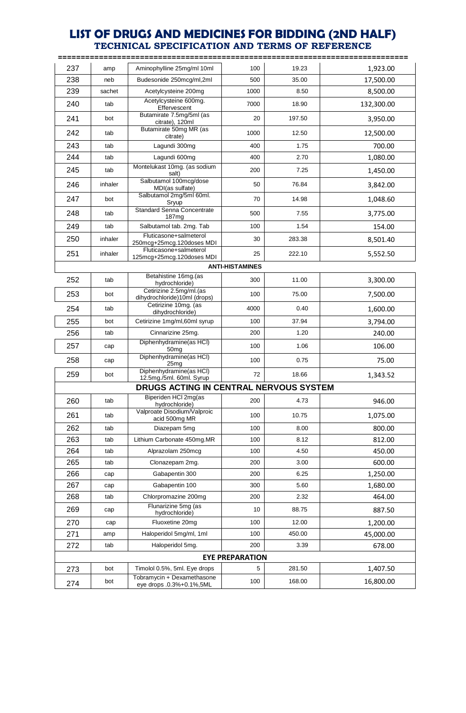|     |         |                                                         |                        |        | ============= |
|-----|---------|---------------------------------------------------------|------------------------|--------|---------------|
| 237 | amp     | Aminophylline 25mg/ml 10ml                              | 100                    | 19.23  | 1,923.00      |
| 238 | neb     | Budesonide 250mcg/ml,2ml                                | 500                    | 35.00  | 17,500.00     |
| 239 | sachet  | Acetylcysteine 200mg                                    | 1000                   | 8.50   | 8,500.00      |
| 240 | tab     | Acetylcysteine 600mg.<br>Effervescent                   | 7000                   | 18.90  | 132,300.00    |
| 241 | bot     | Butamirate 7.5mg/5ml (as<br>citrate), 120ml             | 20                     | 197.50 | 3,950.00      |
| 242 | tab     | Butamirate 50mg MR (as<br>citrate)                      | 1000                   | 12.50  | 12,500.00     |
| 243 | tab     | Lagundi 300mg                                           | 400                    | 1.75   | 700.00        |
| 244 | tab     | Lagundi 600mg                                           | 400                    | 2.70   | 1,080.00      |
| 245 | tab     | Montelukast 10mg. (as sodium<br>salt)                   | 200                    | 7.25   | 1,450.00      |
| 246 | inhaler | Salbutamol 100mcg/dose<br>MDI(as sulfate)               | 50                     | 76.84  | 3,842.00      |
| 247 | bot     | Salbutamol 2mg/5ml 60ml.<br>Sryup                       | 70                     | 14.98  | 1,048.60      |
| 248 | tab     | <b>Standard Senna Concentrate</b><br>187 <sub>mg</sub>  | 500                    | 7.55   | 3,775.00      |
| 249 | tab     | Salbutamol tab. 2mg. Tab                                | 100                    | 1.54   | 154.00        |
| 250 | inhaler | Fluticasone+salmeterol<br>250mcg+25mcg.120doses MDI     | 30                     | 283.38 | 8,501.40      |
| 251 | inhaler | Fluticasone+salmeterol<br>125mcg+25mcg.120doses MDI     | 25                     | 222.10 | 5,552.50      |
|     |         |                                                         | <b>ANTI-HISTAMINES</b> |        |               |
| 252 | tab     | Betahistine 16mg.(as<br>hydrochloride)                  | 300                    | 11.00  | 3,300.00      |
| 253 | bot     | Cetirizine 2.5mg/ml.(as<br>dihydrochloride)10ml (drops) | 100                    | 75.00  | 7,500.00      |
| 254 | tab     | Cetirizine 10mg. (as<br>dihydrochloride)                | 4000                   | 0.40   | 1,600.00      |
| 255 | bot     | Cetirizine 1mg/ml,60ml syrup                            | 100                    | 37.94  | 3,794.00      |
| 256 | tab     | Cinnarizine 25mg.                                       | 200                    | 1.20   | 240.00        |
| 257 | cap     | Diphenhydramine(as HCl)<br>50 <sub>mg</sub>             | 100                    | 1.06   | 106.00        |
| 258 | cap     | Diphenhydramine(as HCl)<br>25 <sub>mq</sub>             | 100                    | 0.75   | 75.00         |
| 259 | bot     | Diphenhydramine(as HCl)<br>12.5mg./5ml. 60ml. Syrup     | 72                     | 18.66  | 1,343.52      |
|     |         | DRUGS ACTING IN CENTRAL NERVOUS SYSTEM                  |                        |        |               |
| 260 | tab     | Biperiden HCI 2mg(as<br>hydrochloride)                  | 200                    | 4.73   | 946.00        |
| 261 | tab     | Valproate Disodium/Valproic<br>acid 500mg MR            | 100                    | 10.75  | 1,075.00      |
| 262 | tab     | Diazepam 5mg                                            | 100                    | 8.00   | 800.00        |
| 263 | tab     | Lithium Carbonate 450mg.MR                              | 100                    | 8.12   | 812.00        |
| 264 | tab     | Alprazolam 250mcg                                       | 100                    | 4.50   | 450.00        |
| 265 | tab     | Clonazepam 2mg.                                         | 200                    | 3.00   | 600.00        |
| 266 | cap     | Gabapentin 300                                          | 200                    | 6.25   | 1,250.00      |
| 267 | cap     | Gabapentin 100                                          | 300                    | 5.60   | 1,680.00      |
| 268 | tab     | Chlorpromazine 200mg                                    | 200                    | 2.32   | 464.00        |
| 269 | cap     | Flunarizine 5mg (as<br>hydrochloride)                   | 10                     | 88.75  | 887.50        |
| 270 | cap     | Fluoxetine 20mg                                         | 100                    | 12.00  | 1,200.00      |
| 271 | amp     | Haloperidol 5mg/ml, 1ml                                 | 100                    | 450.00 | 45,000.00     |
| 272 | tab     | Haloperidol 5mg.                                        | 200                    | 3.39   | 678.00        |
|     |         |                                                         | <b>EYE PREPARATION</b> |        |               |
| 273 | bot     | Timolol 0.5%, 5ml. Eye drops                            | 5                      | 281.50 | 1,407.50      |
| 274 | bot     | Tobramycin + Dexamethasone<br>eye drops .0.3%+0.1%,5ML  | 100                    | 168.00 | 16,800.00     |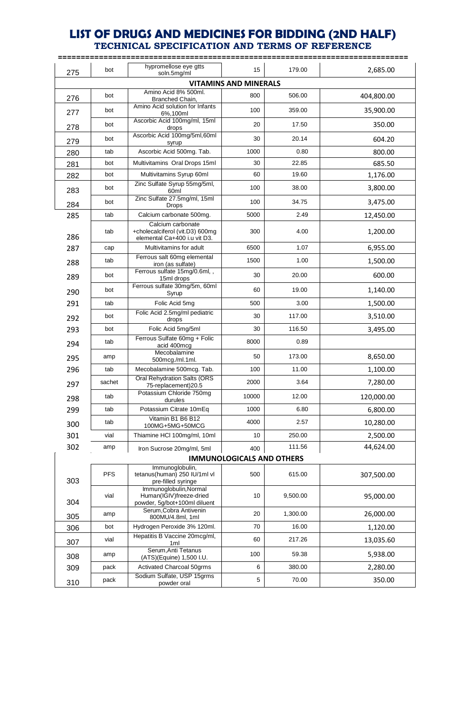| 275                          | bot        | hypromellose eye gtts<br>soln.5mg/ml                                                 | 15                               | 179.00   | 2,685.00   |  |  |  |  |
|------------------------------|------------|--------------------------------------------------------------------------------------|----------------------------------|----------|------------|--|--|--|--|
| <b>VITAMINS AND MINERALS</b> |            |                                                                                      |                                  |          |            |  |  |  |  |
| 276                          | bot        | Amino Acid 8% 500ml.<br>Branched Chain,                                              | 800                              | 506.00   | 404,800.00 |  |  |  |  |
| 277                          | bot        | Amino Acid solution for Infants<br>6%,100ml                                          | 100                              | 359.00   | 35,900.00  |  |  |  |  |
| 278                          | bot        | Ascorbic Acid 100mg/ml, 15ml<br>drops                                                | 20                               | 17.50    | 350.00     |  |  |  |  |
| 279                          | bot        | Ascorbic Acid 100mg/5ml,60ml<br>syrup                                                | 30                               | 20.14    | 604.20     |  |  |  |  |
| 280                          | tab        | Ascorbic Acid 500mg. Tab.                                                            | 1000                             | 0.80     | 800.00     |  |  |  |  |
| 281                          | bot        | Multivitamins Oral Drops 15ml                                                        | 30                               | 22.85    | 685.50     |  |  |  |  |
| 282                          | bot        | Multivitamins Syrup 60ml                                                             | 60                               | 19.60    | 1,176.00   |  |  |  |  |
| 283                          | bot        | Zinc Sulfate Syrup 55mg/5ml,<br>60ml                                                 | 100                              | 38.00    | 3,800.00   |  |  |  |  |
| 284                          | bot        | Zinc Sulfate 27.5mg/ml, 15ml<br><b>Drops</b>                                         | 100                              | 34.75    | 3,475.00   |  |  |  |  |
| 285                          | tab        | Calcium carbonate 500mg.                                                             | 5000                             | 2.49     | 12,450.00  |  |  |  |  |
| 286                          | tab        | Calcium carbonate<br>+cholecalciferol (vit.D3) 600mg<br>elemental Ca+400 i.u vit D3. | 300                              | 4.00     | 1,200.00   |  |  |  |  |
| 287                          | cap        | Multivitamins for adult                                                              | 6500                             | 1.07     | 6,955.00   |  |  |  |  |
| 288                          | tab        | Ferrous salt 60mg elemental<br>iron (as sulfate)                                     | 1500                             | 1.00     | 1,500.00   |  |  |  |  |
| 289                          | bot        | Ferrous sulfate 15mg/0.6ml,,<br>15ml drops                                           | 30                               | 20.00    | 600.00     |  |  |  |  |
| 290                          | bot        | Ferrous sulfate 30mg/5m, 60ml<br>Syrup                                               | 60                               | 19.00    | 1,140.00   |  |  |  |  |
| 291                          | tab        | Folic Acid 5mg                                                                       | 500                              | 3.00     | 1,500.00   |  |  |  |  |
| 292                          | bot        | Folic Acid 2.5mg/ml pediatric<br>drops                                               | 30                               | 117.00   | 3,510.00   |  |  |  |  |
| 293                          | bot        | Folic Acid 5mg/5ml                                                                   | 30                               | 116.50   | 3,495.00   |  |  |  |  |
| 294                          | tab        | Ferrous Sulfate 60mg + Folic<br>acid 400mcg                                          | 8000                             | 0.89     |            |  |  |  |  |
| 295                          | amp        | Mecobalamine<br>500mcg./ml.1ml.                                                      | 50                               | 173.00   | 8,650.00   |  |  |  |  |
| 296                          | tab        | Mecobalamine 500mcg. Tab.                                                            | 100                              | 11.00    | 1,100.00   |  |  |  |  |
| 297                          | sachet     | <b>Oral Rehydration Salts (ORS</b><br>75-replacement)20.5                            | 2000                             | 3.64     | 7,280.00   |  |  |  |  |
| 298                          | tab        | Potassium Chloride 750mg<br>durules                                                  | 10000                            | 12.00    | 120,000.00 |  |  |  |  |
| 299                          | tab        | Potassium Citrate 10mEq                                                              | 1000                             | 6.80     | 6,800.00   |  |  |  |  |
| 300                          | tab        | Vitamin B1 B6 B12<br>100MG+5MG+50MCG                                                 | 4000                             | 2.57     | 10,280.00  |  |  |  |  |
| 301                          | vial       | Thiamine HCl 100mg/ml, 10ml                                                          | 10                               | 250.00   | 2,500.00   |  |  |  |  |
| 302                          | amp        | Iron Sucrose 20mg/ml, 5ml                                                            | 400                              | 111.56   | 44,624.00  |  |  |  |  |
|                              |            |                                                                                      | <b>IMMUNOLOGICALS AND OTHERS</b> |          |            |  |  |  |  |
| 303                          | <b>PFS</b> | Immunoglobulin,<br>tetanus(human) 250 IU/1ml vl<br>pre-filled syringe                | 500                              | 615.00   | 307,500.00 |  |  |  |  |
| 304                          | vial       | Immunoglobulin, Normal<br>Human(IGIV)freeze-dried<br>powder, 5g/bot+100ml diluent    | 10                               | 9,500.00 | 95,000.00  |  |  |  |  |
| 305                          | amp        | Serum, Cobra Antivenin<br>800MU/4.8ml, 1ml                                           | 20                               | 1,300.00 | 26,000.00  |  |  |  |  |
| 306                          | bot        | Hydrogen Peroxide 3% 120ml.                                                          | 70                               | 16.00    | 1,120.00   |  |  |  |  |
| 307                          | vial       | Hepatitis B Vaccine 20mcg/ml,<br>1 <sub>ml</sub>                                     | 60                               | 217.26   | 13,035.60  |  |  |  |  |
| 308                          | amp        | Serum, Anti Tetanus<br>(ATS)(Equine) 1,500 I.U.                                      | 100                              | 59.38    | 5,938.00   |  |  |  |  |
| 309                          | pack       | Activated Charcoal 50grms                                                            | 6                                | 380.00   | 2,280.00   |  |  |  |  |
| 310                          | pack       | Sodium Sulfate, USP 15grms<br>powder oral                                            | $\mathbf 5$                      | 70.00    | 350.00     |  |  |  |  |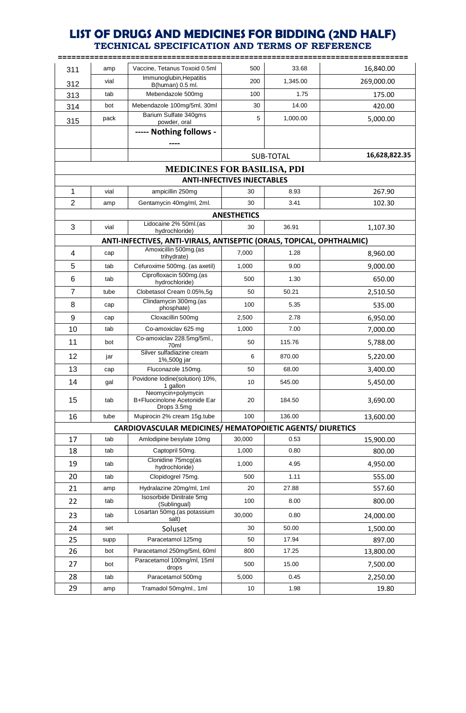**=============================================================================**

| 311                                | amp  | Vaccine, Tetanus Toxoid 0.5ml                                         | 500                                | 33.68     | 16,840.00     |  |  |
|------------------------------------|------|-----------------------------------------------------------------------|------------------------------------|-----------|---------------|--|--|
|                                    | vial | Immunoglubin, Hepatitis                                               | 200                                | 1,345.00  |               |  |  |
| 312                                |      | B(human) 0.5 ml.                                                      |                                    |           | 269,000.00    |  |  |
| 313                                | tab  | Mebendazole 500mg                                                     | 100                                | 1.75      | 175.00        |  |  |
| 314                                | bot  | Mebendazole 100mg/5ml, 30ml<br>Barium Sulfate 340gms                  | 30                                 | 14.00     | 420.00        |  |  |
| 315                                | pack | powder, oral                                                          | 5                                  | 1,000.00  | 5,000.00      |  |  |
|                                    |      | ----- Nothing follows -                                               |                                    |           |               |  |  |
|                                    |      |                                                                       |                                    | SUB-TOTAL | 16,628,822.35 |  |  |
| <b>MEDICINES FOR BASILISA, PDI</b> |      |                                                                       |                                    |           |               |  |  |
|                                    |      |                                                                       | <b>ANTI-INFECTIVES INJECTABLES</b> |           |               |  |  |
| 1                                  | vial | ampicillin 250mg                                                      | 30                                 | 8.93      | 267.90        |  |  |
| $\overline{2}$                     | amp  | Gentamycin 40mg/ml, 2ml.                                              | 30                                 | 3.41      | 102.30        |  |  |
|                                    |      |                                                                       | <b>ANESTHETICS</b>                 |           |               |  |  |
| 3                                  | vial | Lidocaine 2% 50ml.(as<br>hydrochloride)                               | 30                                 | 36.91     | 1,107.30      |  |  |
|                                    |      | ANTI-INFECTIVES, ANTI-VIRALS, ANTISEPTIC (ORALS, TOPICAL, OPHTHALMIC) |                                    |           |               |  |  |
| 4                                  | cap  | Amoxicillin 500mg.(as                                                 | 7.000                              | 1.28      | 8,960.00      |  |  |
| 5                                  | tab  | trihydrate)<br>Cefuroxime 500mg. (as axetil)                          | 1,000                              | 9.00      | 9,000.00      |  |  |
| 6                                  | tab  | Ciprofloxacin 500mg.(as                                               | 500                                | 1.30      | 650.00        |  |  |
| 7                                  | tube | hydrochloride)<br>Clobetasol Cream 0.05%,5g                           | 50                                 | 50.21     | 2,510.50      |  |  |
| 8                                  |      | Clindamycin 300mg.(as                                                 |                                    |           |               |  |  |
|                                    | cap  | phosphate)                                                            | 100                                | 5.35      | 535.00        |  |  |
| 9                                  | cap  | Cloxacillin 500mg                                                     | 2,500                              | 2.78      | 6,950.00      |  |  |
| 10                                 | tab  | Co-amoxiclav 625 mg<br>Co-amoxiclav 228.5mg/5ml.,                     | 1,000                              | 7.00      | 7,000.00      |  |  |
| 11                                 | bot  | 70ml                                                                  | 50                                 | 115.76    | 5,788.00      |  |  |
| 12                                 | jar  | Silver sulfadiazine cream<br>1%,500g jar                              | 6                                  | 870.00    | 5,220.00      |  |  |
| 13                                 | cap  | Fluconazole 150mg.                                                    | 50                                 | 68.00     | 3,400.00      |  |  |
| 14                                 | gal  | Povidone lodine(solution) 10%,<br>1 gallon<br>Neomycin+polymycin      | 10                                 | 545.00    | 5,450.00      |  |  |
| 15                                 | tab  | B+Fluocinolone Acetonide Ear<br>Drops 3.5mg                           | 20                                 | 184.50    | 3,690.00      |  |  |
| 16                                 | tube | Mupirocin 2% cream 15g.tube                                           | 100                                | 136.00    | 13,600.00     |  |  |
|                                    |      | CARDIOVASCULAR MEDICINES/ HEMATOPOIETIC AGENTS/ DIURETICS             |                                    |           |               |  |  |
| 17                                 | tab  | Amlodipine besylate 10mg                                              | 30,000                             | 0.53      | 15,900.00     |  |  |
| 18                                 | tab  | Captopril 50mg.                                                       | 1,000                              | 0.80      | 800.00        |  |  |
| 19                                 | tab  | Clonidine 75mcg(as<br>hydrochloride)                                  | 1,000                              | 4.95      | 4,950.00      |  |  |
| 20                                 | tab  | Clopidogrel 75mg.                                                     | 500                                | 1.11      | 555.00        |  |  |
| 21                                 | amp  | Hydralazine 20mg/ml, 1ml                                              | 20                                 | 27.88     | 557.60        |  |  |
| 22                                 | tab  | Isosorbide Dinitrate 5mg<br>(Sublingual)                              | 100                                | 8.00      | 800.00        |  |  |
| 23                                 | tab  | Losartan 50mg.(as potassium<br>salt)                                  | 30,000                             | 0.80      | 24,000.00     |  |  |
| 24                                 | set  | Soluset                                                               | 30                                 | 50.00     | 1,500.00      |  |  |
| 25                                 | supp | Paracetamol 125mg                                                     | 50                                 | 17.94     | 897.00        |  |  |
| 26                                 | bot  | Paracetamol 250mg/5ml, 60ml                                           | 800                                | 17.25     | 13,800.00     |  |  |
| 27                                 | bot  | Paracetamol 100mg/ml, 15ml<br>drops                                   | 500                                | 15.00     | 7,500.00      |  |  |
| 28                                 | tab  | Paracetamol 500mg                                                     | 5,000                              | 0.45      | 2,250.00      |  |  |
| 29                                 | amp  | Tramadol 50mg/ml., 1ml                                                | 10                                 | 1.98      | 19.80         |  |  |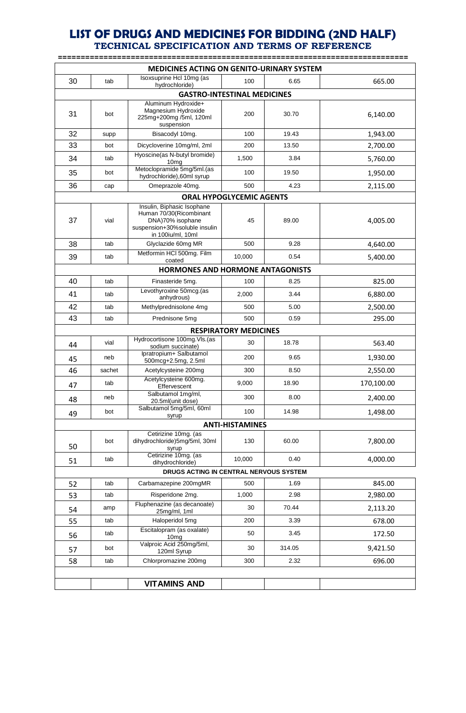| <b>MEDICINES ACTING ON GENITO-URINARY SYSTEM</b> |        |                                                                                                                                 |                                 |        |            |  |  |  |
|--------------------------------------------------|--------|---------------------------------------------------------------------------------------------------------------------------------|---------------------------------|--------|------------|--|--|--|
| 30                                               | tab    | Isoxsuprine Hcl 10mg (as<br>hydrochloride)                                                                                      | 100                             | 6.65   | 665.00     |  |  |  |
| <b>GASTRO-INTESTINAL MEDICINES</b>               |        |                                                                                                                                 |                                 |        |            |  |  |  |
| 31                                               | bot    | Aluminum Hydroxide+<br>Magnesium Hydroxide<br>225mg+200mg /5ml, 120ml<br>suspension                                             | 200                             | 30.70  | 6,140.00   |  |  |  |
| 32                                               | supp   | Bisacodyl 10mg.                                                                                                                 | 100                             | 19.43  | 1,943.00   |  |  |  |
| 33                                               | bot    | Dicycloverine 10mg/ml, 2ml                                                                                                      | 200                             | 13.50  | 2,700.00   |  |  |  |
| 34                                               | tab    | Hyoscine(as N-butyl bromide)<br>10 <sub>mg</sub>                                                                                | 1,500                           | 3.84   | 5,760.00   |  |  |  |
| 35                                               | bot    | Metoclopramide 5mg/5ml.(as<br>hydrochloride), 60ml syrup                                                                        | 100                             | 19.50  | 1,950.00   |  |  |  |
| 36                                               | cap    | Omeprazole 40mg.                                                                                                                | 500                             | 4.23   | 2,115.00   |  |  |  |
|                                                  |        |                                                                                                                                 | <b>ORAL HYPOGLYCEMIC AGENTS</b> |        |            |  |  |  |
| 37                                               | vial   | Insulin, Biphasic Isophane<br>Human 70/30(Ricombinant<br>DNA)70% isophane<br>suspension+30%soluble insulin<br>in 100iu/ml, 10ml | 45                              | 89.00  | 4,005.00   |  |  |  |
| 38                                               | tab    | Glyclazide 60mg MR                                                                                                              | 500                             | 9.28   | 4,640.00   |  |  |  |
| 39                                               | tab    | Metformin HCI 500mg. Film<br>coated                                                                                             | 10,000                          | 0.54   | 5,400.00   |  |  |  |
| HORMONES AND HORMONE ANTAGONISTS                 |        |                                                                                                                                 |                                 |        |            |  |  |  |
| 40                                               | tab    | Finasteride 5mg.                                                                                                                | 100                             | 8.25   | 825.00     |  |  |  |
| 41                                               | tab    | Levothyroxine 50mcg.(as<br>anhydrous)                                                                                           | 2,000                           | 3.44   | 6,880.00   |  |  |  |
| 42                                               | tab    | Methylprednisolone 4mg                                                                                                          | 500                             | 5.00   | 2,500.00   |  |  |  |
| 43                                               | tab    | Prednisone 5mg                                                                                                                  | 500                             | 0.59   | 295.00     |  |  |  |
|                                                  |        |                                                                                                                                 | <b>RESPIRATORY MEDICINES</b>    |        |            |  |  |  |
| 44                                               | vial   | Hydrocortisone 100mg.VIs.(as<br>sodium succinate)                                                                               | 30                              | 18.78  | 563.40     |  |  |  |
| 45                                               | neb    | Ipratropium+ Salbutamol<br>500mcg+2.5mg, 2.5ml                                                                                  | 200                             | 9.65   | 1,930.00   |  |  |  |
| 46                                               | sachet | Acetylcysteine 200mg                                                                                                            | 300                             | 8.50   | 2,550.00   |  |  |  |
| 47                                               | tab    | Acetylcysteine 600mg.<br>Effervescent                                                                                           | 9.000                           | 18.90  | 170,100.00 |  |  |  |
| 48                                               | neb    | Salbutamol 1mg/ml,<br>20.5ml(unit dose)                                                                                         | 300                             | 8.00   | 2,400.00   |  |  |  |
| 49                                               | bot    | Salbutamol 5mg/5ml, 60ml<br>syrup                                                                                               | 100                             | 14.98  | 1,498.00   |  |  |  |
|                                                  |        |                                                                                                                                 | <b>ANTI-HISTAMINES</b>          |        |            |  |  |  |
| 50                                               | bot    | Cetirizine 10mg. (as<br>dihydrochloride)5mg/5ml, 30ml<br>syrup                                                                  | 130                             | 60.00  | 7,800.00   |  |  |  |
| 51                                               | tab    | Cetirizine 10mg. (as<br>dihydrochloride)                                                                                        | 10,000                          | 0.40   | 4,000.00   |  |  |  |
|                                                  |        | DRUGS ACTING IN CENTRAL NERVOUS SYSTEM                                                                                          |                                 |        |            |  |  |  |
| 52                                               | tab    | Carbamazepine 200mgMR                                                                                                           | 500                             | 1.69   | 845.00     |  |  |  |
| 53                                               | tab    | Risperidone 2mg.                                                                                                                | 1,000                           | 2.98   | 2,980.00   |  |  |  |
| 54                                               | amp    | Fluphenazine (as decanoate)<br>25mg/ml, 1ml                                                                                     | 30                              | 70.44  | 2,113.20   |  |  |  |
| 55                                               | tab    | Haloperidol 5mg                                                                                                                 | 200                             | 3.39   | 678.00     |  |  |  |
| 56                                               | tab    | Escitalopram (as oxalate)<br>10 <sub>mg</sub>                                                                                   | 50                              | 3.45   | 172.50     |  |  |  |
| 57                                               | bot    | Valproic Acid 250mg/5ml,<br>120ml Syrup                                                                                         | 30                              | 314.05 | 9,421.50   |  |  |  |
| 58                                               | tab    | Chlorpromazine 200mg                                                                                                            | 300                             | 2.32   | 696.00     |  |  |  |
|                                                  |        |                                                                                                                                 |                                 |        |            |  |  |  |
|                                                  |        | <b>VITAMINS AND</b>                                                                                                             |                                 |        |            |  |  |  |